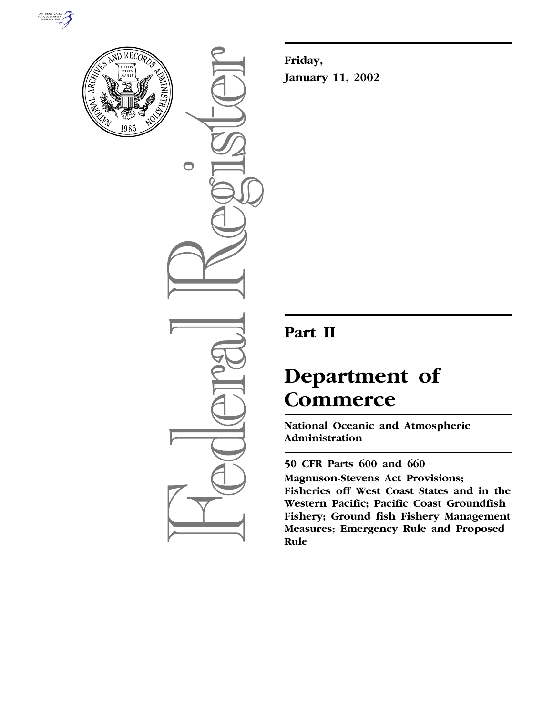



 $\bigcirc$ 

**Friday, January 11, 2002**

# **Part II**

# **Department of Commerce**

**National Oceanic and Atmospheric Administration**

**50 CFR Parts 600 and 660 Magnuson-Stevens Act Provisions; Fisheries off West Coast States and in the Western Pacific; Pacific Coast Groundfish Fishery; Ground fish Fishery Management Measures; Emergency Rule and Proposed Rule**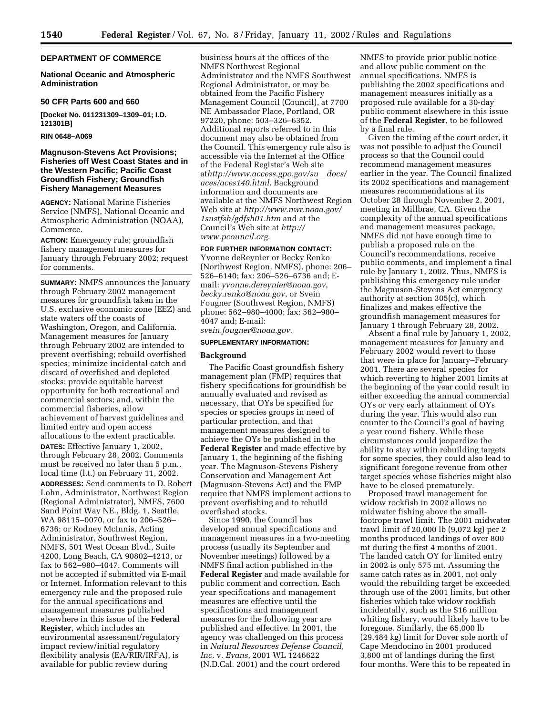#### **DEPARTMENT OF COMMERCE**

#### **National Oceanic and Atmospheric Administration**

#### **50 CFR Parts 600 and 660**

**[Docket No. 011231309–1309–01; I.D. 121301B]**

#### **RIN 0648–A069**

#### **Magnuson-Stevens Act Provisions; Fisheries off West Coast States and in the Western Pacific; Pacific Coast Groundfish Fishery; Groundfish Fishery Management Measures**

**AGENCY:** National Marine Fisheries Service (NMFS), National Oceanic and Atmospheric Administration (NOAA), Commerce.

**ACTION:** Emergency rule; groundfish fishery management measures for January through February 2002; request for comments.

**SUMMARY:** NMFS announces the January through February 2002 management measures for groundfish taken in the U.S. exclusive economic zone (EEZ) and state waters off the coasts of Washington, Oregon, and California. Management measures for January through February 2002 are intended to prevent overfishing; rebuild overfished species; minimize incidental catch and discard of overfished and depleted stocks; provide equitable harvest opportunity for both recreational and commercial sectors; and, within the commercial fisheries, allow achievement of harvest guidelines and limited entry and open access allocations to the extent practicable.

**DATES:** Effective January 1, 2002, through February 28, 2002. Comments must be received no later than 5 p.m., local time (l.t.) on February 11, 2002.

**ADDRESSES:** Send comments to D. Robert Lohn, Administrator, Northwest Region (Regional Administrator), NMFS, 7600 Sand Point Way NE., Bldg. 1, Seattle, WA 98115–0070, or fax to 206–526– 6736; or Rodney McInnis, Acting Administrator, Southwest Region, NMFS, 501 West Ocean Blvd., Suite 4200, Long Beach, CA 90802–4213, or fax to 562–980–4047. Comments will not be accepted if submitted via E-mail or Internet. Information relevant to this emergency rule and the proposed rule for the annual specifications and management measures published elsewhere in this issue of the **Federal Register**, which includes an environmental assessment/regulatory impact review/initial regulatory flexibility analysis (EA/RIR/IRFA), is available for public review during

business hours at the offices of the NMFS Northwest Regional Administrator and the NMFS Southwest Regional Administrator, or may be obtained from the Pacific Fishery Management Council (Council), at 7700 NE Ambassador Place, Portland, OR 97220, phone: 503–326–6352. Additional reports referred to in this document may also be obtained from the Council. This emergency rule also is accessible via the Internet at the Office of the Federal Register's Web site at*http://www.access.gpo.gov/su*l*docs/ aces/aces140.html.* Background information and documents are available at the NMFS Northwest Region Web site at *http://www.nwr.noaa.gov/ 1sustfsh/gdfsh01.htm* and at the Council's Web site at *http:// www.pcouncil.org.*

#### **FOR FURTHER INFORMATION CONTACT:**

Yvonne deReynier or Becky Renko (Northwest Region, NMFS), phone: 206– 526–6140; fax: 206–526–6736 and; Email: *yvonne.dereynier@noaa.gov*, *becky.renko@noaa.gov*, or Svein Fougner (Southwest Region, NMFS) phone: 562–980–4000; fax: 562–980– 4047 and; E-mail:

*svein.fougner@noaa.gov.*

## **SUPPLEMENTARY INFORMATION:**

#### **Background**

The Pacific Coast groundfish fishery management plan (FMP) requires that fishery specifications for groundfish be annually evaluated and revised as necessary, that OYs be specified for species or species groups in need of particular protection, and that management measures designed to achieve the OYs be published in the **Federal Register** and made effective by January 1, the beginning of the fishing year. The Magnuson-Stevens Fishery Conservation and Management Act (Magnuson-Stevens Act) and the FMP require that NMFS implement actions to prevent overfishing and to rebuild overfished stocks.

Since 1990, the Council has developed annual specifications and management measures in a two-meeting process (usually its September and November meetings) followed by a NMFS final action published in the **Federal Register** and made available for public comment and correction. Each year specifications and management measures are effective until the specifications and management measures for the following year are published and effective. In 2001, the agency was challenged on this process in *Natural Resources Defense Council, Inc.* v. *Evans*, 2001 WL 1246622 (N.D.Cal. 2001) and the court ordered

NMFS to provide prior public notice and allow public comment on the annual specifications. NMFS is publishing the 2002 specifications and management measures initially as a proposed rule available for a 30-day public comment elsewhere in this issue of the **Federal Register**, to be followed by a final rule.

Given the timing of the court order, it was not possible to adjust the Council process so that the Council could recommend management measures earlier in the year. The Council finalized its 2002 specifications and management measures recommendations at its October 28 through November 2, 2001, meeting in Millbrae, CA. Given the complexity of the annual specifications and management measures package, NMFS did not have enough time to publish a proposed rule on the Council's recommendations, receive public comments, and implement a final rule by January 1, 2002. Thus, NMFS is publishing this emergency rule under the Magnuson-Stevens Act emergency authority at section 305(c), which finalizes and makes effective the groundfish management measures for January 1 through February 28, 2002.

Absent a final rule by January 1, 2002, management measures for January and February 2002 would revert to those that were in place for January–February 2001. There are several species for which reverting to higher 2001 limits at the beginning of the year could result in either exceeding the annual commercial OYs or very early attainment of OYs during the year. This would also run counter to the Council's goal of having a year round fishery. While these circumstances could jeopardize the ability to stay within rebuilding targets for some species, they could also lead to significant foregone revenue from other target species whose fisheries might also have to be closed prematurely.

Proposed trawl management for widow rockfish in 2002 allows no midwater fishing above the smallfootrope trawl limit. The 2001 midwater trawl limit of 20,000 lb (9,072 kg) per 2 months produced landings of over 800 mt during the first 4 months of 2001. The landed catch OY for limited entry in 2002 is only 575 mt. Assuming the same catch rates as in 2001, not only would the rebuilding target be exceeded through use of the 2001 limits, but other fisheries which take widow rockfish incidentally, such as the \$16 million whiting fishery, would likely have to be foregone. Similarly, the 65,000 lb (29,484 kg) limit for Dover sole north of Cape Mendocino in 2001 produced 3,800 mt of landings during the first four months. Were this to be repeated in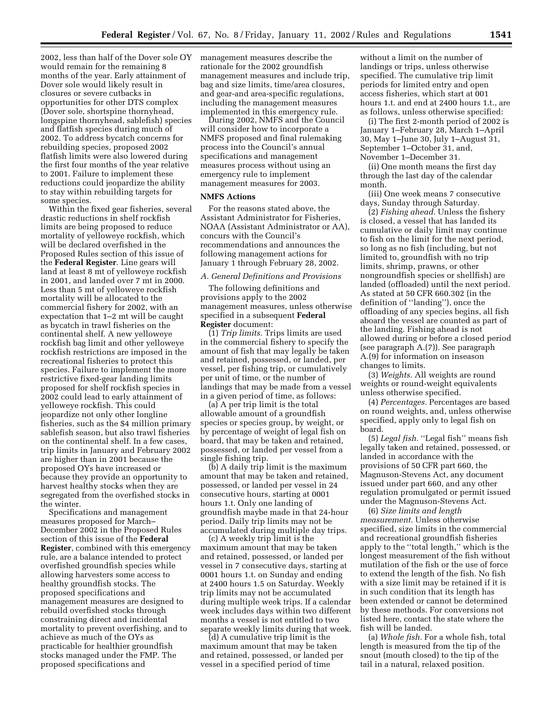2002, less than half of the Dover sole OY would remain for the remaining 8 months of the year. Early attainment of Dover sole would likely result in closures or severe cutbacks in opportunities for other DTS complex (Dover sole, shortspine thornyhead, longspine thornyhead, sablefish) species and flatfish species during much of 2002. To address bycatch concerns for rebuilding species, proposed 2002 flatfish limits were also lowered during the first four months of the year relative to 2001. Failure to implement these reductions could jeopardize the ability to stay within rebuilding targets for some species.

Within the fixed gear fisheries, several drastic reductions in shelf rockfish limits are being proposed to reduce mortality of yelloweye rockfish, which will be declared overfished in the Proposed Rules section of this issue of the **Federal Register**. Line gears will land at least 8 mt of yelloweye rockfish in 2001, and landed over 7 mt in 2000. Less than 5 mt of yelloweye rockfish mortality will be allocated to the commercial fishery for 2002, with an expectation that 1–2 mt will be caught as bycatch in trawl fisheries on the continental shelf. A new yelloweye rockfish bag limit and other yelloweye rockfish restrictions are imposed in the recreational fisheries to protect this species. Failure to implement the more restrictive fixed-gear landing limits proposed for shelf rockfish species in 2002 could lead to early attainment of yelloweye rockfish. This could jeopardize not only other longline fisheries, such as the \$4 million primary sablefish season, but also trawl fisheries on the continental shelf. In a few cases, trip limits in January and February 2002 are higher than in 2001 because the proposed OYs have increased or because they provide an opportunity to harvest healthy stocks when they are segregated from the overfished stocks in the winter.

Specifications and management measures proposed for March– December 2002 in the Proposed Rules section of this issue of the **Federal Register**, combined with this emergency rule, are a balance intended to protect overfished groundfish species while allowing harvesters some access to healthy groundfish stocks. The proposed specifications and management measures are designed to rebuild overfished stocks through constraining direct and incidental mortality to prevent overfishing, and to achieve as much of the OYs as practicable for healthier groundfish stocks managed under the FMP. The proposed specifications and

management measures describe the rationale for the 2002 groundfish management measures and include trip, bag and size limits, time/area closures, and gear-and area-specific regulations, including the management measures implemented in this emergency rule.

During 2002, NMFS and the Council will consider how to incorporate a NMFS proposed and final rulemaking process into the Council's annual specifications and management measures process without using an emergency rule to implement management measures for 2003.

#### **NMFS Actions**

For the reasons stated above, the Assistant Administrator for Fisheries, NOAA (Assistant Administrator or AA), concurs with the Council's recommendations and announces the following management actions for January 1 through February 28, 2002.

#### *A. General Definitions and Provisions*

The following definitions and provisions apply to the 2002 management measures, unless otherwise specified in a subsequent **Federal Register** document:

(1) *Trip limits.* Trips limits are used in the commercial fishery to specify the amount of fish that may legally be taken and retained, possessed, or landed, per vessel, per fishing trip, or cumulatively per unit of time, or the number of landings that may be made from a vessel in a given period of time, as follows:

(a) A per trip limit is the total allowable amount of a groundfish species or species group, by weight, or by percentage of weight of legal fish on board, that may be taken and retained, possessed, or landed per vessel from a single fishing trip.

(b) A daily trip limit is the maximum amount that may be taken and retained, possessed, or landed per vessel in 24 consecutive hours, starting at 0001 hours 1.t. Only one landing of groundfish maybe made in that 24-hour period. Daily trip limits may not be accumulated during multiple day trips.

(c) A weekly trip limit is the maximum amount that may be taken and retained, possessed, or landed per vessel in 7 consecutive days, starting at 0001 hours 1.t. on Sunday and ending at 2400 hours 1.5 on Saturday. Weekly trip limits may not be accumulated during multiple week trips. If a calendar week includes days within two different months a vessel is not entitled to two separate weekly limits during that week.

(d) A cumulative trip limit is the maximum amount that may be taken and retained, possessed, or landed per vessel in a specified period of time

without a limit on the number of landings or trips, unless otherwise specified. The cumulative trip limit periods for limited entry and open access fisheries, which start at 001 hours 1.t. and end at 2400 hours 1.t., are as follows, unless otherwise specified:

(i) The first 2-month period of 2002 is January 1–February 28, March 1–April 30, May 1–June 30, July 1–August 31, September 1–October 31, and, November 1–December 31.

(ii) One month means the first day through the last day of the calendar month.

(iii) One week means 7 consecutive days, Sunday through Saturday.

(2) *Fishing ahead.* Unless the fishery is closed, a vessel that has landed its cumulative or daily limit may continue to fish on the limit for the next period, so long as no fish (including, but not limited to, groundfish with no trip limits, shrimp, prawns, or other nongroundfish species or shellfish) are landed (offloaded) until the next period. As stated at 50 CFR 660.302 (in the definition of ''landing''), once the offloading of any species begins, all fish aboard the vessel are counted as part of the landing. Fishing ahead is not allowed during or before a closed period (see paragraph A.(7)). See paragraph A.(9) for information on inseason changes to limits.

(3) *Weights.* All weights are round weights or round-weight equivalents unless otherwise specified.

(4) *Percentages.* Percentages are based on round weights, and, unless otherwise specified, apply only to legal fish on board.

(5) *Legal fish.* ''Legal fish'' means fish legally taken and retained, possessed, or landed in accordance with the provisions of 50 CFR part 660, the Magnuson-Stevens Act, any document issued under part 660, and any other regulation promulgated or permit issued under the Magnuson-Stevens Act.

(6) *Size limits and length measurement.* Unless otherwise specified, size limits in the commercial and recreational groundfish fisheries apply to the ''total length,'' which is the longest measurement of the fish without mutilation of the fish or the use of force to extend the length of the fish. No fish with a size limit may be retained if it is in such condition that its length has been extended or cannot be determined by these methods. For conversions not listed here, contact the state where the fish will be landed.

(a) *Whole fish.* For a whole fish, total length is measured from the tip of the snout (mouth closed) to the tip of the tail in a natural, relaxed position.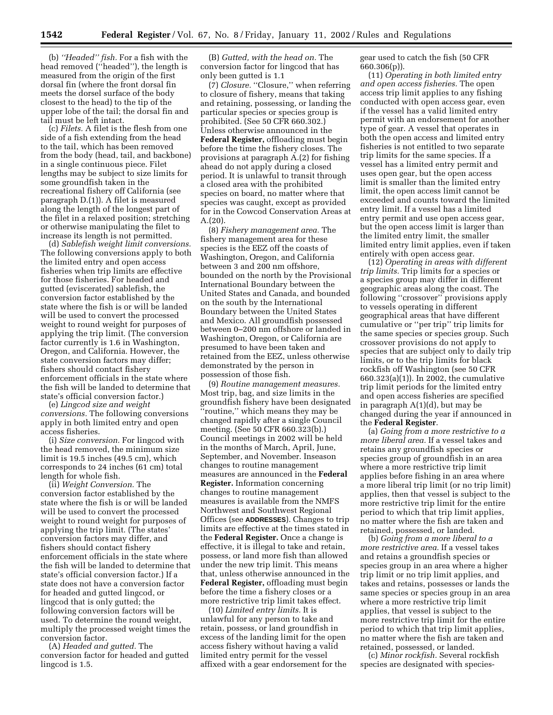(b) *''Headed'' fish.* For a fish with the head removed (''headed''), the length is measured from the origin of the first dorsal fin (where the front dorsal fin meets the dorsel surface of the body closest to the head) to the tip of the upper lobe of the tail; the dorsal fin and tail must be left intact.

(c) *Filets.* A filet is the flesh from one side of a fish extending from the head to the tail, which has been removed from the body (head, tail, and backbone) in a single continuous piece. Filet lengths may be subject to size limits for some groundfish taken in the recreational fishery off California (see paragraph D.(1)). A filet is measured along the length of the longest part of the filet in a relaxed position; stretching or otherwise manipulating the filet to increase its length is not permitted.

(d) *Sablefish weight limit conversions.* The following conversions apply to both the limited entry and open access fisheries when trip limits are effective for those fisheries. For headed and gutted (eviscerated) sablefish, the conversion factor established by the state where the fish is or will be landed will be used to convert the processed weight to round weight for purposes of applying the trip limit. (The conversion factor currently is 1.6 in Washington, Oregon, and California. However, the state conversion factors may differ; fishers should contact fishery enforcement officials in the state where the fish will be landed to determine that state's official conversion factor.)

(e) *Lingcod size and weight conversions.* The following conversions apply in both limited entry and open access fisheries.

(i) *Size conversion.* For lingcod with the head removed, the minimum size limit is 19.5 inches (49.5 cm), which corresponds to 24 inches (61 cm) total length for whole fish.

(ii) *Weight Conversion.* The conversion factor established by the state where the fish is or will be landed will be used to convert the processed weight to round weight for purposes of applying the trip limit. (The states' conversion factors may differ, and fishers should contact fishery enforcement officials in the state where the fish will be landed to determine that state's official conversion factor.) If a state does not have a conversion factor for headed and gutted lingcod, or lingcod that is only gutted; the following conversion factors will be used. To determine the round weight, multiply the processed weight times the conversion factor.

(A) *Headed and gutted.* The conversion factor for headed and gutted lingcod is 1.5.

(B) *Gutted, with the head on.* The conversion factor for lingcod that has only been gutted is 1.1

(7) *Closure.* ''Closure,'' when referring to closure of fishery, means that taking and retaining, possessing, or landing the particular species or species group is prohibited. (See 50 CFR 660.302.) Unless otherwise announced in the **Federal Register,** offloading must begin before the time the fishery closes. The provisions at paragraph A.(2) for fishing ahead do not apply during a closed period. It is unlawful to transit through a closed area with the prohibited species on board, no matter where that species was caught, except as provided for in the Cowcod Conservation Areas at A.(20).

(8) *Fishery management area.* The fishery management area for these species is the EEZ off the coasts of Washington, Oregon, and California between 3 and 200 nm offshore, bounded on the north by the Provisional International Boundary between the United States and Canada, and bounded on the south by the International Boundary between the United States and Mexico. All groundfish possessed between 0–200 nm offshore or landed in Washington, Oregon, or California are presumed to have been taken and retained from the EEZ, unless otherwise demonstrated by the person in possession of those fish.

(9) *Routine management measures.* Most trip, bag, and size limits in the groundfish fishery have been designated ''routine,'' which means they may be changed rapidly after a single Council meeting. (See 50 CFR 660.323(b).) Council meetings in 2002 will be held in the months of March, April, June, September, and November. Inseason changes to routine management measures are announced in the **Federal Register.** Information concerning changes to routine management measures is available from the NMFS Northwest and Southwest Regional Offices (see **ADDRESSES**). Changes to trip limits are effective at the times stated in the **Federal Register.** Once a change is effective, it is illegal to take and retain, possess, or land more fish than allowed under the new trip limit. This means that, unless otherwise announced in the **Federal Register,** offloading must begin before the time a fishery closes or a more restrictive trip limit takes effect.

(10) *Limited entry limits.* It is unlawful for any person to take and retain, possess, or land groundfish in excess of the landing limit for the open access fishery without having a valid limited entry permit for the vessel affixed with a gear endorsement for the gear used to catch the fish (50 CFR 660.306(p)).

(11) *Operating in both limited entry and open access fisheries.* The open access trip limit applies to any fishing conducted with open access gear, even if the vessel has a valid limited entry permit with an endorsement for another type of gear. A vessel that operates in both the open access and limited entry fisheries is not entitled to two separate trip limits for the same species. If a vessel has a limited entry permit and uses open gear, but the open access limit is smaller than the limited entry limit, the open access limit cannot be exceeded and counts toward the limited entry limit. If a vessel has a limited entry permit and use open access gear, but the open access limit is larger than the limited entry limit, the smaller limited entry limit applies, even if taken entirely with open access gear.

(12) *Operating in areas with different trip limits.* Trip limits for a species or a species group may differ in different geographic areas along the coast. The following ''crossover'' provisions apply to vessels operating in different geographical areas that have different cumulative or ''per trip'' trip limits for the same species or species group. Such crossover provisions do not apply to species that are subject only to daily trip limits, or to the trip limits for black rockfish off Washington (see 50 CFR 660.323(a)(1)). In 2002, the cumulative trip limit periods for the limited entry and open access fisheries are specified in paragraph A(1)(d), but may be changed during the year if announced in the **Federal Register**.

(a) *Going from a more restrictive to a more liberal area.* If a vessel takes and retains any groundfish species or species group of groundfish in an area where a more restrictive trip limit applies before fishing in an area where a more liberal trip limit (or no trip limit) applies, then that vessel is subject to the more restrictive trip limit for the entire period to which that trip limit applies, no matter where the fish are taken and retained, possessed, or landed.

(b) *Going from a more liberal to a more restrictive area.* If a vessel takes and retains a groundfish species or species group in an area where a higher trip limit or no trip limit applies, and takes and retains, possesses or lands the same species or species group in an area where a more restrictive trip limit applies, that vessel is subject to the more restrictive trip limit for the entire period to which that trip limit applies, no matter where the fish are taken and retained, possessed, or landed.

(c) *Minor rockfish.* Several rockfish species are designated with species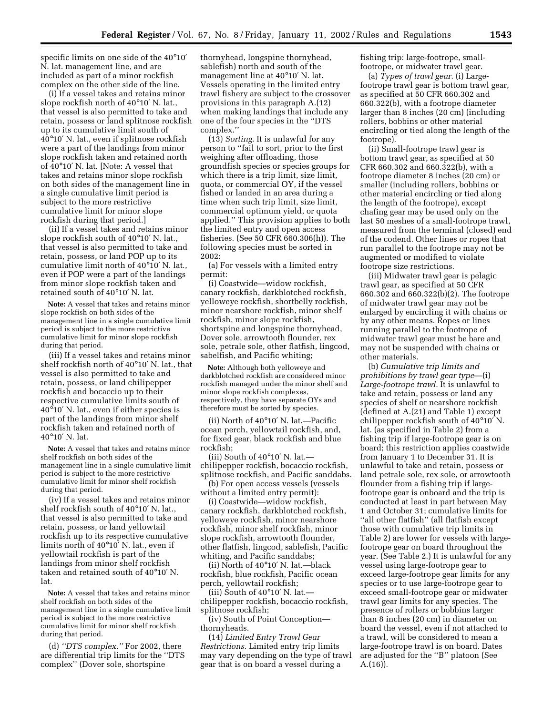specific limits on one side of the 40°10′ N. lat. management line, and are included as part of a minor rockfish complex on the other side of the line.

(i) If a vessel takes and retains minor slope rockfish north of 40°10′ N. lat., that vessel is also permitted to take and retain, possess or land splitnose rockfish up to its cumulative limit south of 40°10′ N. lat., even if splitnose rockfish were a part of the landings from minor slope rockfish taken and retained north of 40°10′ N. lat. [Note: A vessel that takes and retains minor slope rockfish on both sides of the management line in a single cumulative limit period is subject to the more restrictive cumulative limit for minor slope rockfish during that period.]

(ii) If a vessel takes and retains minor slope rockfish south of 40°10′ N. lat., that vessel is also permitted to take and retain, possess, or land POP up to its cumulative limit north of 40°10′ N. lat., even if POP were a part of the landings from minor slope rockfish taken and retained south of 40°10′ N. lat.

**Note:** A vessel that takes and retains minor slope rockfish on both sides of the management line in a single cumulative limit period is subject to the more restrictive cumulative limit for minor slope rockfish during that period.

(iii) If a vessel takes and retains minor shelf rockfish north of 40°10′ N. lat., that vessel is also permitted to take and retain, possess, or land chilipepper rockfish and bocaccio up to their respective cumulative limits south of 40°10′ N. lat., even if either species is part of the landings from minor shelf rockfish taken and retained north of 40°10′ N. lat.

**Note:** A vessel that takes and retains minor shelf rockfish on both sides of the management line in a single cumulative limit period is subject to the more restrictive cumulative limit for minor shelf rockfish during that period.

(iv) If a vessel takes and retains minor shelf rockfish south of 40°10′ N. lat., that vessel is also permitted to take and retain, possess, or land yellowtail rockfish up to its respective cumulative limits north of 40°10′ N. lat., even if yellowtail rockfish is part of the landings from minor shelf rockfish taken and retained south of 40°10′ N. lat.

**Note:** A vessel that takes and retains minor shelf rockfish on both sides of the management line in a single cumulative limit period is subject to the more restrictive cumulative limit for minor shelf rockfish during that period.

(d) *''DTS complex.''* For 2002, there are differential trip limits for the ''DTS complex'' (Dover sole, shortspine

thornyhead, longspine thornyhead, sablefish) north and south of the management line at 40°10′ N. lat. Vessels operating in the limited entry trawl fishery are subject to the crossover provisions in this paragraph A.(12) when making landings that include any one of the four species in the ''DTS complex.''

(13) *Sorting.* It is unlawful for any person to ''fail to sort, prior to the first weighing after offloading, those groundfish species or species groups for which there is a trip limit, size limit, quota, or commercial OY, if the vessel fished or landed in an area during a time when such trip limit, size limit, commercial optimum yield, or quota applied.'' This provision applies to both the limited entry and open access fisheries. (See 50 CFR 660.306(h)). The following species must be sorted in 2002:

(a) For vessels with a limited entry permit:

(i) Coastwide—widow rockfish, canary rockfish, darkblotched rockfish, yelloweye rockfish, shortbelly rockfish, minor nearshore rockfish, minor shelf rockfish, minor slope rockfish, shortspine and longspine thornyhead, Dover sole, arrowtooth flounder, rex sole, petrale sole, other flatfish, lingcod, sabelfish, and Pacific whiting;

**Note:** Although both yelloweye and darkblotched rockfish are considered minor rockfish managed under the minor shelf and minor slope rockfish complexes, respectively, they have separate OYs and therefore must be sorted by species.

(ii) North of 40°10′ N. lat.—Pacific ocean perch, yellowtail rockfish, and, for fixed gear, black rockfish and blue rockfish;

(iii) South of 40°10′ N. lat. chilipepper rockfish, bocaccio rockfish, splitnose rockfish, and Pacific sanddabs.

(b) For open access vessels (vessels without a limited entry permit):

(i) Coastwide—widow rockfish, canary rockfish, darkblotched rockfish, yelloweye rockfish, minor nearshore rockfish, minor shelf rockfish, minor slope rockfish, arrowtooth flounder, other flatfish, lingcod, sablefish, Pacific whiting, and Pacific sanddabs;

(ii) North of 40°10′ N. lat.—black rockfish, blue rockfish, Pacific ocean perch, yellowtail rockfish;

(iii) South of 40°10′ N. lat. chilipepper rockfish, bocaccio rockfish, splitnose rockfish;

(iv) South of Point Conception thornyheads.

(14) *Limited Entry Trawl Gear Restrictions.* Limited entry trip limits may vary depending on the type of trawl gear that is on board a vessel during a

fishing trip: large-footrope, smallfootrope, or midwater trawl gear.

(a) *Types of trawl gear.* (i) Largefootrope trawl gear is bottom trawl gear, as specified at 50 CFR 660.302 and 660.322(b), with a footrope diameter larger than 8 inches (20 cm) (including rollers, bobbins or other material encircling or tied along the length of the footrope).

(ii) Small-footrope trawl gear is bottom trawl gear, as specified at 50 CFR 660.302 and 660.322(b), with a footrope diameter 8 inches (20 cm) or smaller (including rollers, bobbins or other material encircling or tied along the length of the footrope), except chafing gear may be used only on the last 50 meshes of a small-footrope trawl, measured from the terminal (closed) end of the codend. Other lines or ropes that run parallel to the footrope may not be augmented or modified to violate footrope size restrictions.

(iii) Midwater trawl gear is pelagic trawl gear, as specified at 50 CFR 660.302 and 660.322(b)(2). The footrope of midwater trawl gear may not be enlarged by encircling it with chains or by any other means. Ropes or lines running parallel to the footrope of midwater trawl gear must be bare and may not be suspended with chains or other materials.

(b) *Cumulative trip limits and prohibitions by trawl gear type*—(i) *Large-footrope trawl.* It is unlawful to take and retain, possess or land any species of shelf or nearshore rockfish (defined at A.(21) and Table 1) except chilipepper rockfish south of 40°10′ N. lat. (as specified in Table 2) from a fishing trip if large-footrope gear is on board; this restriction applies coastwide from January 1 to December 31. It is unlawful to take and retain, possess or land petrale sole, rex sole, or arrowtooth flounder from a fishing trip if largefootrope gear is onboard and the trip is conducted at least in part between May 1 and October 31; cumulative limits for ''all other flatfish'' (all flatfish except those with cumulative trip limits in Table 2) are lower for vessels with largefootrope gear on board throughout the year. (See Table 2.) It is unlawful for any vessel using large-footrope gear to exceed large-footrope gear limits for any species or to use large-footrope gear to exceed small-footrope gear or midwater trawl gear limits for any species. The presence of rollers or bobbins larger than 8 inches (20 cm) in diameter on board the vessel, even if not attached to a trawl, will be considered to mean a large-footrope trawl is on board. Dates are adjusted for the ''B'' platoon (See A.(16)).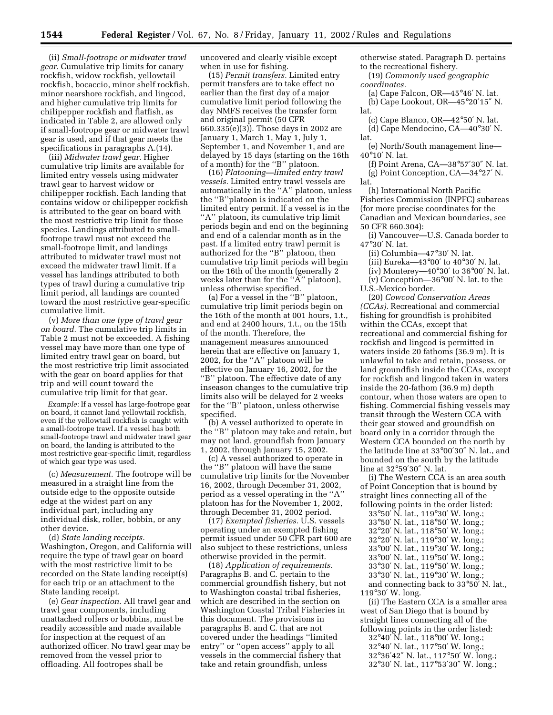(ii) *Small-footrope or midwater trawl gear.* Cumulative trip limits for canary rockfish, widow rockfish, yellowtail rockfish, bocaccio, minor shelf rockfish, minor nearshore rockfish, and lingcod, and higher cumulative trip limits for chilipepper rockfish and flatfish, as indicated in Table 2, are allowed only if small-footrope gear or midwater trawl gear is used, and if that gear meets the specifications in paragraphs A.(14).

(iii) *Midwater trawl gear.* Higher cumulative trip limits are available for limited entry vessels using midwater trawl gear to harvest widow or chilipepper rockfish. Each landing that contains widow or chilipepper rockfish is attributed to the gear on board with the most restrictive trip limit for those species. Landings attributed to smallfootrope trawl must not exceed the small-footrope limit, and landings attributed to midwater trawl must not exceed the midwater trawl limit. If a vessel has landings attributed to both types of trawl during a cumulative trip limit period, all landings are counted toward the most restrictive gear-specific cumulative limit.

(v) *More than one type of trawl gear on board.* The cumulative trip limits in Table 2 must not be exceeded. A fishing vessel may have more than one type of limited entry trawl gear on board, but the most restrictive trip limit associated with the gear on board applies for that trip and will count toward the cumulative trip limit for that gear.

*Example:* If a vessel has large-footrope gear on board, it cannot land yellowtail rockfish, even if the yellowtail rockfish is caught with a small-footrope trawl. If a vessel has both small-footrope trawl and midwater trawl gear on board, the landing is attributed to the most restrictive gear-specific limit, regardless of which gear type was used.

(c) *Measurement.* The footrope will be measured in a straight line from the outside edge to the opposite outside edge at the widest part on any individual part, including any individual disk, roller, bobbin, or any other device.

(d) *State landing receipts.* Washington, Oregon, and California will require the type of trawl gear on board with the most restrictive limit to be recorded on the State landing receipt(s) for each trip or an attachment to the State landing receipt.

(e) *Gear inspection.* All trawl gear and trawl gear components, including unattached rollers or bobbins, must be readily accessible and made available for inspection at the request of an authorized officer. No trawl gear may be removed from the vessel prior to offloading. All footropes shall be

uncovered and clearly visible except when in use for fishing.

(15) *Permit transfers.* Limited entry permit transfers are to take effect no earlier than the first day of a major cumulative limit period following the day NMFS receives the transfer form and original permit (50 CFR 660.335(e)(3)). Those days in 2002 are January 1, March 1, May 1, July 1, September 1, and November 1, and are delayed by 15 days (starting on the 16th of a month) for the ''B'' platoon.

(16) *Platooning—limited entry trawl vessels.* Limited entry trawl vessels are automatically in the "A" platoon, unless the ''B''platoon is indicated on the limited entry permit. If a vessel is in the "A" platoon, its cumulative trip limit periods begin and end on the beginning and end of a calendar month as in the past. If a limited entry trawl permit is authorized for the ''B'' platoon, then cumulative trip limit periods will begin on the 16th of the month (generally 2 weeks later than for the "A" platoon), unless otherwise specified.

(a) For a vessel in the ''B'' platoon, cumulative trip limit periods begin on the 16th of the month at 001 hours, 1.t., and end at 2400 hours, 1.t., on the 15th of the month. Therefore, the management measures announced herein that are effective on January 1, 2002, for the ''A'' platoon will be effective on January 16, 2002, for the ''B'' platoon. The effective date of any inseason changes to the cumulative trip limits also will be delayed for 2 weeks for the ''B'' platoon, unless otherwise specified.

(b) A vessel authorized to operate in the ''B'' platoon may take and retain, but may not land, groundfish from January 1, 2002, through January 15, 2002.

(c) A vessel authorized to operate in the ''B'' platoon will have the same cumulative trip limits for the November 16, 2002, through December 31, 2002, period as a vessel operating in the ''A'' platoon has for the November 1, 2002, through December 31, 2002 period.

(17) *Exempted fisheries.* U.S. vessels operating under an exempted fishing permit issued under 50 CFR part 600 are also subject to these restrictions, unless otherwise provided in the permit.

(18) *Application of requirements.* Paragraphs B. and C. pertain to the commercial groundfish fishery, but not to Washington coastal tribal fisheries, which are described in the section on Washington Coastal Tribal Fisheries in this document. The provisions in paragraphs B. and C. that are not covered under the headings ''limited entry'' or ''open access'' apply to all vessels in the commercial fishery that take and retain groundfish, unless

otherwise stated. Paragraph D. pertains to the recreational fishery.

(19) *Commonly used geographic coordinates.*

(a) Cape Falcon, OR—45°46′ N. lat.

(b) Cape Lookout, OR—45°20′15″ N. lat.

- (c) Cape Blanco, OR—42°50′ N. lat. (d) Cape Mendocino, CA—40°30′ N.
- lat.

(e) North/South management line— 40°10′ N. lat.

(f) Point Arena, CA—38°57′30″ N. lat. (g) Point Conception, CA—34°27′ N. lat.

(h) International North Pacific Fisheries Commission (INPFC) subareas (for more precise coordinates for the Canadian and Mexican boundaries, see 50 CFR 660.304):

(i) Vancouver—U.S. Canada border to 47°30′ N. lat.

(ii) Columbia—47°30′ N. lat.

(iii) Eureka—43°00′ to 40°30′ N. lat.

(iv) Monterey—40 $^{\circ}30'$  to  $36^{\circ}00'$  N. lat.

(v) Conception—36°00′ N. lat. to the

U.S.-Mexico border.

(20) *Cowcod Conservation Areas (CCAs).* Recreational and commercial fishing for groundfish is prohibited within the CCAs, except that recreational and commercial fishing for rockfish and lingcod is permitted in waters inside 20 fathoms (36.9 m). It is unlawful to take and retain, possess, or land groundfish inside the CCAs, except for rockfish and lingcod taken in waters inside the 20-fathom (36.9 m) depth contour, when those waters are open to fishing. Commercial fishing vessels may transit through the Western CCA with their gear stowed and groundfish on board only in a corridor through the Western CCA bounded on the north by the latitude line at 33°00′30″ N. lat., and bounded on the south by the latitude line at 32°59′30″ N. lat.

(i) The Western CCA is an area south of Point Conception that is bound by straight lines connecting all of the following points in the order listed:

| 33°50' N. lat., 119°30' W. long.;                   |
|-----------------------------------------------------|
| 33°50' N. lat., 118°50' W. long.;                   |
| 32°20' N. lat., 118°50' W. long.;                   |
| 32°20' N. lat., 119°30' W. long.;                   |
| 33°00' N. lat., 119°30' W. long.;                   |
| 33°00' N. lat., 119°50' W. long.;                   |
| 33°30' N. lat., 119°50' W. long.;                   |
| $33^{\circ}30'$ N. lat., $119^{\circ}30'$ W. long.; |
| and connecting back to 33°50' N. lat.,              |

119°30′ W. long.

(ii) The Eastern CCA is a smaller area west of San Diego that is bound by straight lines connecting all of the following points in the order listed:

°40′ N. lat., 118°00′ W. long.; °40′ N. lat., 117°50′ W. long.; °36′42″ N. lat., 117°50′ W. long.; °30′ N. lat., 117°53′30″ W. long.;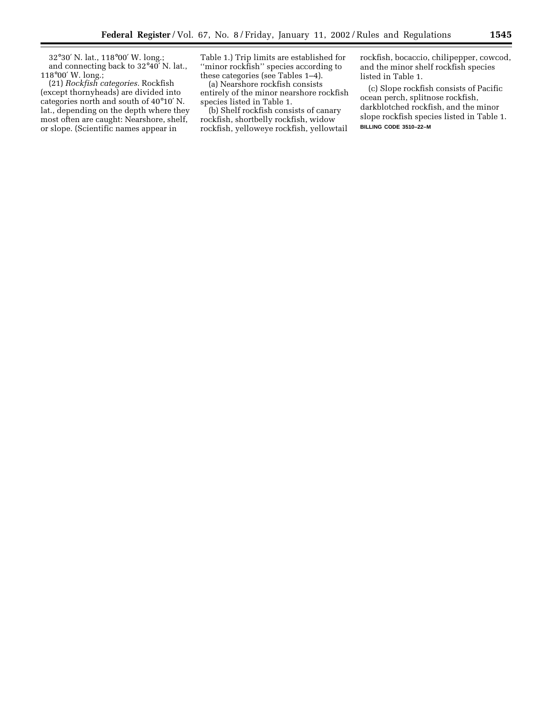32°30′ N. lat., 118°00′ W. long.; and connecting back to 32°40′ N. lat., 118°00′ W. long.;

(21) *Rockfish categories.* Rockfish (except thornyheads) are divided into categories north and south of 40°10′ N. lat., depending on the depth where they most often are caught: Nearshore, shelf, or slope. (Scientific names appear in

Table 1.) Trip limits are established for ''minor rockfish'' species according to these categories (see Tables 1–4).

(a) Nearshore rockfish consists entirely of the minor nearshore rockfish species listed in Table 1.

(b) Shelf rockfish consists of canary rockfish, shortbelly rockfish, widow rockfish, yelloweye rockfish, yellowtail rockfish, bocaccio, chilipepper, cowcod, and the minor shelf rockfish species listed in Table 1.

(c) Slope rockfish consists of Pacific ocean perch, splitnose rockfish, darkblotched rockfish, and the minor slope rockfish species listed in Table 1. **BILLING CODE 3510–22–M**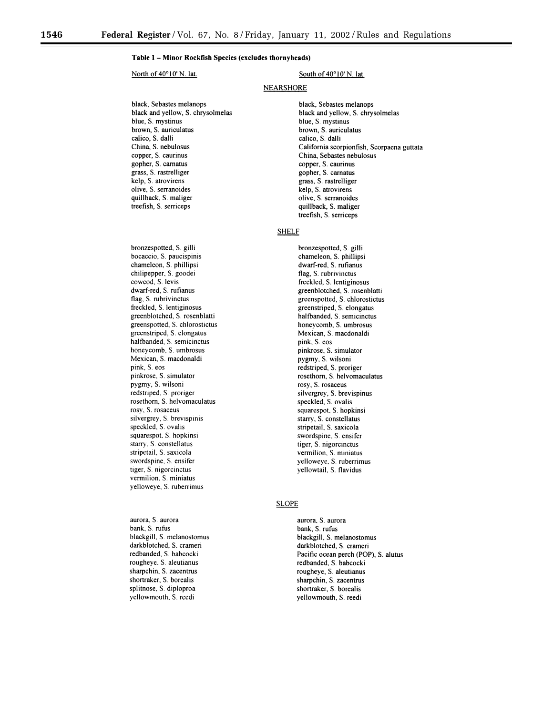#### Table 1 - Minor Rockfish Species (excludes thornyheads)

#### North of 40°10' N. lat.

black, Sebastes melanops black and yellow, S. chrysolmelas blue, S. mystinus brown, S. auriculatus calico, S. dalli China, S. nebulosus copper, S. caurinus gopher, S. carnatus grass, S. rastrelliger kelp, S. atrovirens olive, S. serranoides quillback, S. maliger treefish, S. serriceps

bronzespotted, S. gilli bocaccio, S. paucispinis chameleon, S. phillipsi chilipepper, S. goodei cowcod, S. levis dwarf-red, S. rufianus flag, S. rubrivinctus freckled, S. lentiginosus greenblotched, S. rosenblatti greenspotted, S. chlorostictus greenstriped, S. elongatus halfbanded, S. semicinctus honeycomb, S. umbrosus Mexican, S. macdonaldi pink, S. eos pinkrose, S. simulator pygmy, S. wilsoni redstriped, S. proriger rosethorn, S. helvomaculatus rosy, S. rosaceus silvergrey, S. brevispinis speckled, S. ovalis squarespot, S. hopkinsi starry, S. constellatus stripetail, S. saxicola swordspine, S. ensifer tiger, S. nigorcinctus vermilion, S. miniatus yelloweye, S. ruberrimus

aurora, S. aurora bank, S. rufus blackgill, S. melanostomus darkblotched, S. crameri redbanded, S. babcocki rougheye, S. aleutianus sharpchin, S. zacentrus shortraker, S. borealis splitnose, S. diploproa yellowmouth, S. reedi

#### South of 40°10' N. lat.

#### **NEARSHORE**

black, Sebastes melanops black and yellow, S. chrysolmelas blue, S. mystinus brown, S. auriculatus calico, S. dalli California scorpionfish, Scorpaena guttata China, Sebastes nebulosus copper, S. caurinus gopher, S. carnatus grass, S. rastrelliger kelp, S. atrovirens olive, S. serranoides quillback, S. maliger treefish, S. serriceps

#### **SHELF**

bronzespotted, S. gilli chameleon, S. phillipsi dwarf-red, S. rufianus flag, S. rubrivinctus freckled, S. lentiginosus greenblotched, S. rosenblatti greenspotted, S. chlorostictus greenstriped, S. elongatus halfbanded, S. semicinctus honeycomb, S. umbrosus Mexican, S. macdonaldi pink, S. eos pinkrose, S. simulator pygmy, S. wilsoni redstriped, S. proriger rosethorn, S. helvomaculatus rosy, S. rosaceus silvergrey, S. brevispinus speckled, S. ovalis squarespot, S. hopkinsi starry, S. constellatus stripetail, S. saxicola swordspine, S. ensifer tiger, S. nigorcinctus vermilion, S. miniatus yelloweye, S. ruberrimus yellowtail, S. flavidus

#### **SLOPE**

aurora, S. aurora bank, S. rufus blackgill, S. melanostomus darkblotched, S. crameri Pacific ocean perch (POP), S. alutus redbanded, S. babcocki rougheye, S. aleutianus sharpchin, S. zacentrus shortraker, S. borealis yellowmouth, S. reedi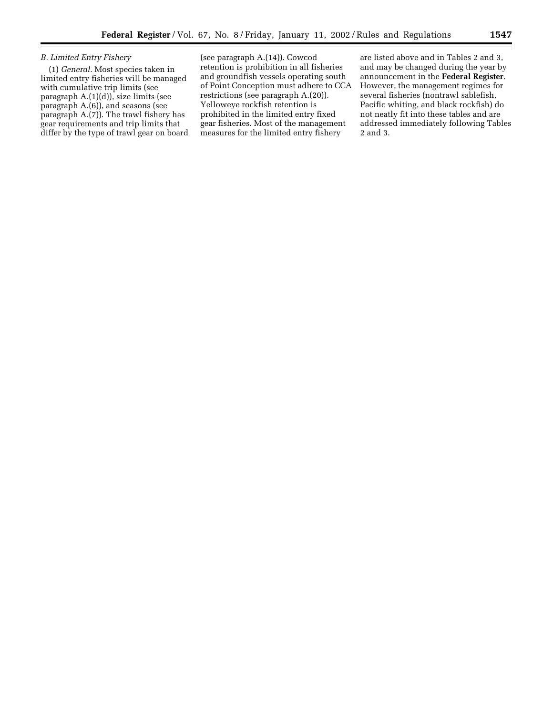Ξ

### *B. Limited Entry Fishery*

(1) *General.* Most species taken in limited entry fisheries will be managed with cumulative trip limits (see paragraph A.(1)(d)), size limits (see paragraph A.(6)), and seasons (see paragraph A.(7)). The trawl fishery has gear requirements and trip limits that differ by the type of trawl gear on board

(see paragraph A.(14)). Cowcod retention is prohibition in all fisheries and groundfish vessels operating south of Point Conception must adhere to CCA restrictions (see paragraph A.(20)). Yelloweye rockfish retention is prohibited in the limited entry fixed gear fisheries. Most of the management measures for the limited entry fishery

are listed above and in Tables 2 and 3, and may be changed during the year by announcement in the **Federal Register**. However, the management regimes for several fisheries (nontrawl sablefish, Pacific whiting, and black rockfish) do not neatly fit into these tables and are addressed immediately following Tables 2 and 3.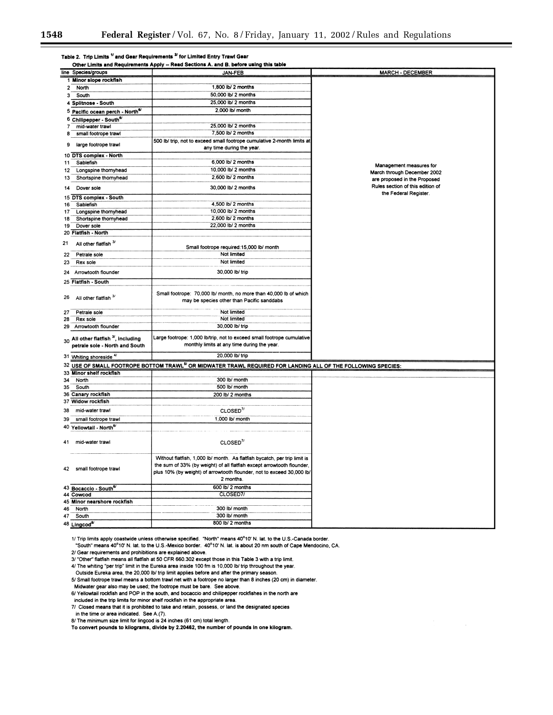|                | Table 2. Trip Limits <sup>1/</sup> and Gear Requirements <sup>2/</sup> for Limited Entry Trawl Gear |                                                                                                                                                                                                                                            |                                                           |  |  |  |  |
|----------------|-----------------------------------------------------------------------------------------------------|--------------------------------------------------------------------------------------------------------------------------------------------------------------------------------------------------------------------------------------------|-----------------------------------------------------------|--|--|--|--|
|                |                                                                                                     | Other Limits and Requirements Apply -- Read Sections A. and B. before using this table                                                                                                                                                     |                                                           |  |  |  |  |
|                | line Species/groups                                                                                 | <b>JAN-FEB</b>                                                                                                                                                                                                                             | <b>MARCH - DECEMBER</b>                                   |  |  |  |  |
|                | 1 Minor slope rockfish                                                                              | 1,800 lb/ 2 months                                                                                                                                                                                                                         |                                                           |  |  |  |  |
| $\overline{2}$ | North                                                                                               | 50,000 lb/ 2 months                                                                                                                                                                                                                        |                                                           |  |  |  |  |
| 3              | South                                                                                               | 25,000 lb/ 2 months                                                                                                                                                                                                                        |                                                           |  |  |  |  |
|                | 4 Splitnose - South                                                                                 |                                                                                                                                                                                                                                            |                                                           |  |  |  |  |
|                | 5 Pacific ocean perch - North <sup>e/</sup>                                                         | 2,000 lb/ month                                                                                                                                                                                                                            |                                                           |  |  |  |  |
|                | 6 Chilipepper - South <sup>6/</sup>                                                                 |                                                                                                                                                                                                                                            |                                                           |  |  |  |  |
| 7              | mid-water trawl                                                                                     | 25,000 lb/ 2 months                                                                                                                                                                                                                        |                                                           |  |  |  |  |
| 8              | small footrope trawl                                                                                | 7,500 lb/ 2 months                                                                                                                                                                                                                         |                                                           |  |  |  |  |
| 9              | large footrope trawl                                                                                | 500 lb/ trip, not to exceed small footrope cumulative 2-month limits at<br>any time during the year.                                                                                                                                       |                                                           |  |  |  |  |
|                | 10 DTS complex - North                                                                              |                                                                                                                                                                                                                                            |                                                           |  |  |  |  |
| 11             | Sablefish                                                                                           | 6,000 lb/ 2 months                                                                                                                                                                                                                         | Management measures for                                   |  |  |  |  |
| 12             | Longspine thomyhead                                                                                 | 10,000 lb/ 2 months                                                                                                                                                                                                                        | March through December 2002                               |  |  |  |  |
| 13             | Shortspine thornyhead                                                                               | 2,600 lb/ 2 months                                                                                                                                                                                                                         | are proposed in the Proposed                              |  |  |  |  |
| 14             | Dover sole                                                                                          | 30,000 lb/ 2 months                                                                                                                                                                                                                        | Rules section of this edition of<br>the Federal Register. |  |  |  |  |
|                | 15 DTS complex - South                                                                              |                                                                                                                                                                                                                                            |                                                           |  |  |  |  |
| 16             | Sabiefish                                                                                           | 4,500 lb/ 2 months                                                                                                                                                                                                                         |                                                           |  |  |  |  |
| 17             | Longspine thornyhead                                                                                | 10,000 lb/ 2 months                                                                                                                                                                                                                        |                                                           |  |  |  |  |
| 18             | Shortspine thornyhead                                                                               | 2,600 lb/ 2 months                                                                                                                                                                                                                         |                                                           |  |  |  |  |
| 19             | Dover sole                                                                                          | 22,000 lb/ 2 months                                                                                                                                                                                                                        |                                                           |  |  |  |  |
| 21             | 20 Flatfish - North<br>All other flatfish 3/                                                        |                                                                                                                                                                                                                                            |                                                           |  |  |  |  |
|                |                                                                                                     | Small footrope required: 15,000 lb/ month                                                                                                                                                                                                  |                                                           |  |  |  |  |
| 22             | Petrale sole                                                                                        | Not limited                                                                                                                                                                                                                                |                                                           |  |  |  |  |
| 23             | Rex sole                                                                                            | Not limited                                                                                                                                                                                                                                |                                                           |  |  |  |  |
| 24             | Arrowtooth flounder                                                                                 | 30,000 lb/ trip                                                                                                                                                                                                                            |                                                           |  |  |  |  |
|                | 25 Flatfish - South                                                                                 |                                                                                                                                                                                                                                            |                                                           |  |  |  |  |
|                |                                                                                                     |                                                                                                                                                                                                                                            |                                                           |  |  |  |  |
| 26             | All other flatfish <sup>3/</sup>                                                                    | Small footrope: 70,000 lb/ month, no more than 40,000 lb of which<br>may be species other than Pacific sanddabs                                                                                                                            |                                                           |  |  |  |  |
| 27             | Petrale sole                                                                                        | Not limited                                                                                                                                                                                                                                |                                                           |  |  |  |  |
| 28             | Rex sole                                                                                            | Not limited                                                                                                                                                                                                                                |                                                           |  |  |  |  |
| 29             | Arrowtooth flounder                                                                                 | 30,000 lb/ trip                                                                                                                                                                                                                            |                                                           |  |  |  |  |
|                |                                                                                                     | Large footrope: 1,000 lb/trip, not to exceed small footrope cumulative                                                                                                                                                                     |                                                           |  |  |  |  |
|                | $30$ All other flatfish $^{3}$ , including<br>petrale sole - North and South                        | monthly limits at any time during the year.                                                                                                                                                                                                |                                                           |  |  |  |  |
|                |                                                                                                     |                                                                                                                                                                                                                                            |                                                           |  |  |  |  |
|                | 31 Whiting shoreside 4/                                                                             | 20,000 lb/ trip<br>32 USE OF SMALL FOOTROPE BOTTOM TRAWL <sup>5/</sup> OR MIDWATER TRAWL REQUIRED FOR LANDING ALL OF THE FOLLOWING SPECIES:                                                                                                |                                                           |  |  |  |  |
|                | 33 Minor shelf rockfish                                                                             |                                                                                                                                                                                                                                            |                                                           |  |  |  |  |
| 34             | North                                                                                               | 300 lb/ month                                                                                                                                                                                                                              |                                                           |  |  |  |  |
| 35             | South                                                                                               | 500 lb/ month                                                                                                                                                                                                                              |                                                           |  |  |  |  |
|                | 36 Canary rockfish                                                                                  | 200 lb/ 2 months                                                                                                                                                                                                                           |                                                           |  |  |  |  |
|                | 37 Widow rockfish                                                                                   |                                                                                                                                                                                                                                            |                                                           |  |  |  |  |
| 38             | mid-water trawl                                                                                     | CLOSED <sup>7/</sup>                                                                                                                                                                                                                       |                                                           |  |  |  |  |
|                |                                                                                                     |                                                                                                                                                                                                                                            |                                                           |  |  |  |  |
| 39             | small footrope trawl                                                                                | 1,000 lb/ month                                                                                                                                                                                                                            |                                                           |  |  |  |  |
|                | 40 Yellowtail - North <sup>6/</sup>                                                                 |                                                                                                                                                                                                                                            |                                                           |  |  |  |  |
| 41             | mid-water trawl                                                                                     | CLOSED <sup>7/</sup>                                                                                                                                                                                                                       |                                                           |  |  |  |  |
|                | 42 small footrope trawl                                                                             | Without flatfish, 1,000 lb/ month.  As flatfish bycatch, per trip limit is<br>the sum of 33% (by weight) of all flatfish except arrowtooth flounder,<br>plus 10% (by weight) of arrowtooth flounder, not to exceed 30,000 lb/<br>2 months. |                                                           |  |  |  |  |
|                | 43 Bocaccio - South <sup>6/</sup>                                                                   | 600 lb/ 2 months                                                                                                                                                                                                                           |                                                           |  |  |  |  |
|                | 44 Cowcod                                                                                           | CLOSED7/                                                                                                                                                                                                                                   |                                                           |  |  |  |  |
|                | 45 Minor nearshore rockfish                                                                         |                                                                                                                                                                                                                                            |                                                           |  |  |  |  |
| 46             | North                                                                                               | 300 lb/ month                                                                                                                                                                                                                              |                                                           |  |  |  |  |
| 47             | South                                                                                               | 300 lb/ month                                                                                                                                                                                                                              |                                                           |  |  |  |  |
|                | 48 Lingcod <sup>8/</sup>                                                                            | 800 lb/ 2 months                                                                                                                                                                                                                           |                                                           |  |  |  |  |

1/ Trip limits apply coastwide unless otherwise specified. "North" means 40°10' N. lat. to the U.S.-Canada border

"South" means 40°10' N. lat. to the U.S.-Mexico border. 40°10' N. lat. is about 20 nm south of Cape Mendocino, CA.

2/ Gear requirements and prohibitions are explained above.

3/ "Other" flatfish means all flatfish at 50 CFR 660.302 except those in this Table 3 with a trip limit.

4/ The whiting "per trip" limit in the Eureka area inside 100 fm is 10,000 lb/ trip throughout the year. Outside Eureka area, the 20,000 lb/ trip limit applies before and after the primary season.

5/ Small footrope trawl means a bottom trawl net with a footrope no larger than 8 inches (20 cm) in diameter.

Midwater gear also may be used; the footrope must be bare. See above.

6/ Yellowtail rockfish and POP in the south, and bocaccio and chilipepper rockfishes in the north are

included in the trip limits for minor shelf rockfish in the appropriate area. 7/ Closed means that it is prohibited to take and retain, possess, or land the designated species

in the time or area indicated. See A.(7).

8/ The minimum size limit for lingcod is 24 inches (61 cm) total length.

To convert pounds to kilograms, divide by 2.20462, the number of pounds in one kilogram.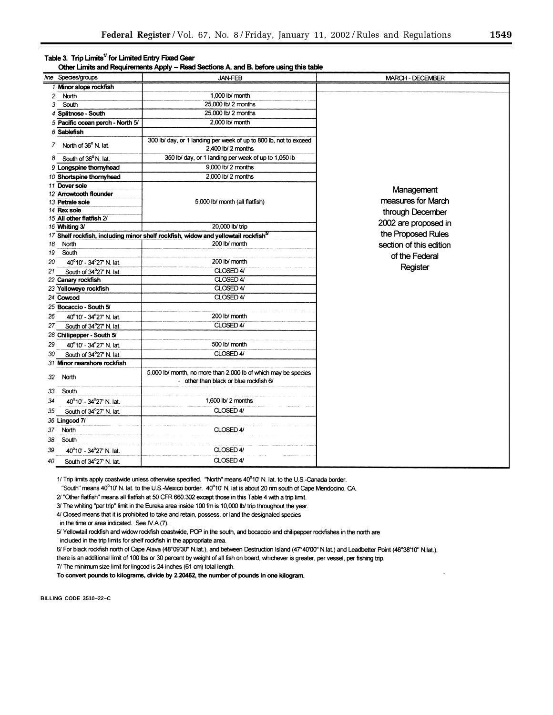#### Table 3. Trip Limits<sup>1</sup> for Limited Entry Fixed Gear

Other Limits and Requirements Apply -- Read Sections A. and B. before using this table

|                | line Species/groups                     | <b>JAN-FEB</b>                                                                                           | <b>MARCH - DECEMBER</b> |
|----------------|-----------------------------------------|----------------------------------------------------------------------------------------------------------|-------------------------|
|                | 1 Minor slope rockfish                  |                                                                                                          |                         |
| $\overline{c}$ | North                                   | 1,000 lb/ month                                                                                          |                         |
| 3              | South                                   | 25,000 lb/ 2 months                                                                                      |                         |
|                | 4 Splitnose - South                     | 25,000 lb/ 2 months                                                                                      |                         |
|                | 5 Pacific ocean perch - North 5/        | 2,000 lb/ month                                                                                          |                         |
|                | 6 Sabiefish                             |                                                                                                          |                         |
| 7              | North of 36° N. lat.                    | 300 lb/ day, or 1 landing per week of up to 800 lb, not to exceed<br>2,400 lb/ 2 months                  |                         |
| 8              | South of 36°N. lat.                     | 350 lb/ day, or 1 landing per week of up to 1,050 lb                                                     |                         |
|                | 9 Longspine thornyhead                  | 9,000 lb/ 2 months                                                                                       |                         |
|                | 10 Shortspine thornyhead                | 2,000 lb/ 2 months                                                                                       |                         |
|                | 11 Dover sole                           |                                                                                                          | Management              |
|                | 12 Arrowtooth flounder                  |                                                                                                          | measures for March      |
|                | 13 Petrale sole                         | 5,000 lb/ month (all flatfish)                                                                           |                         |
|                | 14 Rex sole<br>15 All other flatfish 2/ |                                                                                                          | through December        |
|                | 16 Whiting 3/                           | 20,000 lb/ trip                                                                                          | 2002 are proposed in    |
|                |                                         | 17 Shelf rockfish, including minor shelf rockfish, widow and yellowtail rockfish <sup>5/</sup>           | the Proposed Rules      |
| 18             | North                                   | 200 lb/ month                                                                                            | section of this edition |
| 19             | South                                   |                                                                                                          |                         |
| 20             | 40°10' - 34°27' N. lat.                 | 200 lb/ month                                                                                            | of the Federal          |
| 21             | South of 34°27' N. lat.                 | CLOSED 4/                                                                                                | Register                |
|                | 22 Canary rockfish                      | CLOSED 4/                                                                                                |                         |
|                | 23 Yelloweye rockfish                   | CLOSED 4/                                                                                                |                         |
|                | 24 Cowcod                               | CLOSED 4/                                                                                                |                         |
|                | 25 Bocaccio - South 5/                  |                                                                                                          |                         |
| 26             | 40°10' - 34°27' N. lat.                 | 200 lb/ month                                                                                            |                         |
| 27             | South of 34°27' N. lat.                 | CLOSED 4/                                                                                                |                         |
|                | 28 Chilipepper - South 5/               |                                                                                                          |                         |
| 29             | 40°10' - 34°27' N. lat.                 | 500 lb/ month                                                                                            |                         |
| 30             | South of 34°27' N. lat.                 | CLOSED 4/                                                                                                |                         |
|                | 31 Minor nearshore rockfish             |                                                                                                          |                         |
| 32             | North                                   | 5,000 lb/ month, no more than 2,000 lb of which may be species<br>- other than black or blue rockfish 6/ |                         |
| 33             | South                                   |                                                                                                          |                         |
| 34             | 40°10' - 34°27' N. lat.                 | 1,600 lb/ $2$ months                                                                                     |                         |
| 35             | South of 34°27' N. lat.                 | CLOSED 4/                                                                                                |                         |
|                | 36 Lingcod 7/                           |                                                                                                          |                         |
| 37             | North                                   | CLOSED 4/                                                                                                |                         |
| 38             | South                                   |                                                                                                          |                         |
| 39             | 40°10' - 34°27' N. lat.                 | CLOSED 4/                                                                                                |                         |
|                |                                         | CLOSED 4/                                                                                                |                         |
| 40             | South of 34°27' N. lat.                 |                                                                                                          |                         |

1/ Trip limits apply coastwide unless otherwise specified. "North" means 40°10' N. lat. to the U.S.-Canada border. "South" means 40°10' N. lat. to the U.S.-Mexico border. 40°10' N. lat is about 20 nm south of Cape Mendocino, CA.

2/ "Other flatfish" means all flatfish at 50 CFR 660.302 except those in this Table 4 with a trip limit.

3/ The whiting "per trip" limit in the Eureka area inside 100 fm is 10,000 lb/ trip throughout the year.

4/ Closed means that it is prohibited to take and retain, possess, or land the designated species

in the time or area indicated. See IV.A.(7).

5/ Yellowtail rockfish and widow rockfish coastwide, POP in the south, and bocaccio and chilipepper rockfishes in the north are included in the trip limits for shelf rockfish in the appropriate area.

6/ For black rockfish north of Cape Alava (48°09'30" N.lat.), and between Destruction Island (47°40'00" N.lat.) and Leadbetter Point (46°38'10" N.lat.),

there is an additional limit of 100 lbs or 30 percent by weight of all fish on board, whichever is greater, per vessel, per fishing trip.

7/ The minimum size limit for lingcod is 24 inches (61 cm) total length.

To convert pounds to kilograms, divide by 2.20462, the number of pounds in one kilogram.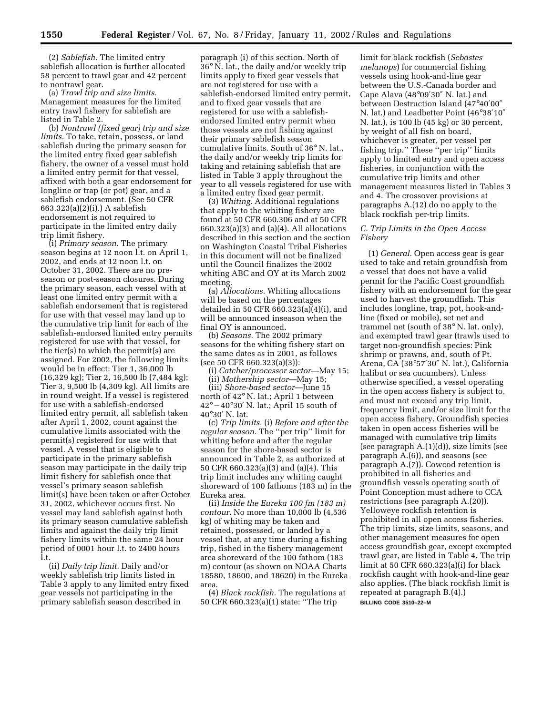(2) *Sablefish.* The limited entry sablefish allocation is further allocated 58 percent to trawl gear and 42 percent to nontrawl gear.

(a) *Trawl trip and size limits.* Management measures for the limited entry trawl fishery for sablefish are listed in Table 2.

(b) *Nontrawl (fixed gear) trip and size limits.* To take, retain, possess, or land sablefish during the primary season for the limited entry fixed gear sablefish fishery, the owner of a vessel must hold a limited entry permit for that vessel, affixed with both a gear endorsement for longline or trap (or pot) gear, and a sablefish endorsement. (See 50 CFR 663.323(a)(2)(i).) A sablefish endorsement is not required to participate in the limited entry daily trip limit fishery.

(i) *Primary season.* The primary season begins at 12 noon l.t. on April 1, 2002, and ends at 12 noon l.t. on October 31, 2002. There are no preseason or post-season closures. During the primary season, each vessel with at least one limited entry permit with a sablefish endorsement that is registered for use with that vessel may land up to the cumulative trip limit for each of the sablefish-endorsed limited entry permits registered for use with that vessel, for the tier(s) to which the permit(s) are assigned. For 2002, the following limits would be in effect: Tier 1, 36,000 lb (16,329 kg); Tier 2, 16,500 lb (7,484 kg); Tier 3, 9,500 lb (4,309 kg). All limits are in round weight. If a vessel is registered for use with a sablefish-endorsed limited entry permit, all sablefish taken after April 1, 2002, count against the cumulative limits associated with the permit(s) registered for use with that vessel. A vessel that is eligible to participate in the primary sablefish season may participate in the daily trip limit fishery for sablefish once that vessel's primary season sablefish limit(s) have been taken or after October 31, 2002, whichever occurs first. No vessel may land sablefish against both its primary season cumulative sablefish limits and against the daily trip limit fishery limits within the same 24 hour period of 0001 hour l.t. to 2400 hours l.t.

(ii) *Daily trip limit.* Daily and/or weekly sablefish trip limits listed in Table 3 apply to any limited entry fixed gear vessels not participating in the primary sablefish season described in

paragraph (i) of this section. North of 36° N. lat., the daily and/or weekly trip limits apply to fixed gear vessels that are not registered for use with a sablefish-endorsed limited entry permit, and to fixed gear vessels that are registered for use with a sablefishendorsed limited entry permit when those vessels are not fishing against their primary sablefish season cumulative limits. South of 36° N. lat., the daily and/or weekly trip limits for taking and retaining sablefish that are listed in Table 3 apply throughout the year to all vessels registered for use with a limited entry fixed gear permit.

(3) *Whiting.* Additional regulations that apply to the whiting fishery are found at 50 CFR 660.306 and at 50 CFR 660.323(a)(3) and (a)(4). All allocations described in this section and the section on Washington Coastal Tribal Fisheries in this document will not be finalized until the Council finalizes the 2002 whiting ABC and OY at its March 2002 meeting.

(a) *Allocations.* Whiting allocations will be based on the percentages detailed in 50 CFR 660.323(a)(4)(i), and will be announced inseason when the final OY is announced.

(b) *Seasons.* The 2002 primary seasons for the whiting fishery start on the same dates as in 2001, as follows (see 50 CFR 660.323(a)(3)):

(i) *Catcher/processor sector*—May 15; (ii) *Mothership sector*—May 15;

(iii) *Shore-based sector*—June 15 north of 42° N. lat.; April 1 between  $42^{\circ} - 40^{\circ}30'$  N. lat.; April 15 south of 40°30′ N. lat.

(c) *Trip limits.* (i) *Before and after the regular season.* The ''per trip'' limit for whiting before and after the regular season for the shore-based sector is announced in Table 2, as authorized at 50 CFR 660.323(a)(3) and (a)(4). This trip limit includes any whiting caught shoreward of 100 fathoms (183 m) in the Eureka area.

(ii) *Inside the Eureka 100 fm (183 m) contour.* No more than 10,000 lb (4,536 kg) of whiting may be taken and retained, possessed, or landed by a vessel that, at any time during a fishing trip, fished in the fishery management area shoreward of the 100 fathom (183 m) contour (as shown on NOAA Charts 18580, 18600, and 18620) in the Eureka area.

(4) *Black rockfish.* The regulations at 50 CFR 660.323(a)(1) state: ''The trip

limit for black rockfish (*Sebastes melanops*) for commercial fishing vessels using hook-and-line gear between the U.S.-Canada border and Cape Alava (48°09′30″ N. lat.) and between Destruction Island (47°40′00″ N. lat.) and Leadbetter Point (46°38′10″ N. lat.), is 100 lb (45 kg) or 30 percent, by weight of all fish on board, whichever is greater, per vessel per fishing trip.'' These ''per trip'' limits apply to limited entry and open access fisheries, in conjunction with the cumulative trip limits and other management measures listed in Tables 3 and 4. The crossover provisions at paragraphs A.(12) do no apply to the black rockfish per-trip limits.

#### *C. Trip Limits in the Open Access Fishery*

(1) *General.* Open access gear is gear used to take and retain groundfish from a vessel that does not have a valid permit for the Pacific Coast groundfish fishery with an endorsement for the gear used to harvest the groundfish. This includes longline, trap, pot, hook-andline (fixed or mobile), set net and trammel net (south of 38° N. lat. only), and exempted trawl gear (trawls used to target non-groundfish species: Pink shrimp or prawns, and, south of Pt. Arena, CA (38°57′30″ N. lat.), California halibut or sea cucumbers). Unless otherwise specified, a vessel operating in the open access fishery is subject to, and must not exceed any trip limit, frequency limit, and/or size limit for the open access fishery. Groundfish species taken in open access fisheries will be managed with cumulative trip limits (see paragraph A.(1)(d)), size limits (see paragraph  $A(6)$ , and seasons (see paragraph A.(7)). Cowcod retention is prohibited in all fisheries and groundfish vessels operating south of Point Conception must adhere to CCA restrictions (see paragraph A.(20)). Yelloweye rockfish retention is prohibited in all open access fisheries. The trip limits, size limits, seasons, and other management measures for open access groundfish gear, except exempted trawl gear, are listed in Table 4. The trip limit at 50 CFR 660.323(a)(i) for black rockfish caught with hook-and-line gear also applies. (The black rockfish limit is repeated at paragraph B.(4).) **BILLING CODE 3510–22–M**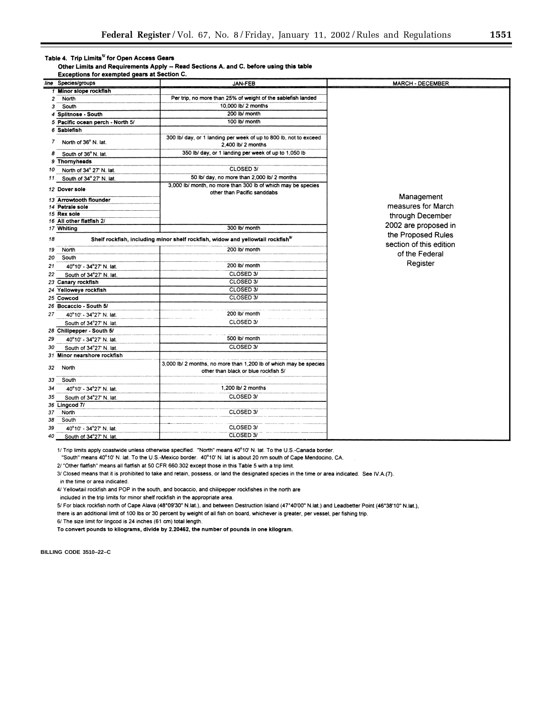#### Table 4. Trip Limits<sup>1/</sup> for Open Access Gears

Other Limits and Requirements Apply -- Read Sections A. and C. before using this table Exceptions for exempted gears at Section C.

|                | line Species/groups                                                                                                    | <b>JAN-FEB</b>                                                                                            | <b>MARCH - DECEMBER</b> |  |  |
|----------------|------------------------------------------------------------------------------------------------------------------------|-----------------------------------------------------------------------------------------------------------|-------------------------|--|--|
|                | 1 Minor slope rockfish                                                                                                 |                                                                                                           |                         |  |  |
| $\overline{c}$ | North                                                                                                                  | Per trip, no more than 25% of weight of the sablefish landed                                              |                         |  |  |
| 3              | South                                                                                                                  | 10,000 lb/ 2 months                                                                                       |                         |  |  |
| 4              | Splitnose - South                                                                                                      | 200 lb/ month                                                                                             |                         |  |  |
|                | 5 Pacific ocean perch - North 5/                                                                                       | 100 lb/ month                                                                                             |                         |  |  |
| 6              | Sablefish                                                                                                              |                                                                                                           |                         |  |  |
| 7              | North of 36° N. lat.                                                                                                   | 300 lb/ day, or 1 landing per week of up to 800 lb, not to exceed<br>2,400 lb/ 2 months                   |                         |  |  |
| 8              | South of 36°N. lat.                                                                                                    | 350 lb/ day, or 1 landing per week of up to 1,050 lb                                                      |                         |  |  |
|                | 9 Thornyheads                                                                                                          |                                                                                                           |                         |  |  |
| 10             | North of 34° 27' N. lat.                                                                                               | CLOSED 3/                                                                                                 |                         |  |  |
| 11             | South of 34° 27' N. lat.                                                                                               | 50 lb/ day, no more than 2,000 lb/ 2 months                                                               |                         |  |  |
|                | 12 Dover sole                                                                                                          | 3,000 lb/ month, no more than 300 lb of which may be species<br>other than Pacific sanddabs               |                         |  |  |
|                | 13 Arrowtooth flounder                                                                                                 |                                                                                                           | Management              |  |  |
|                | 14 Petrale sole                                                                                                        |                                                                                                           | measures for March      |  |  |
|                | 15 Rex sole                                                                                                            |                                                                                                           | through December        |  |  |
|                | 16 All other flatfish 2/                                                                                               | 300 lb/ month                                                                                             | 2002 are proposed in    |  |  |
|                | 17 Whiting                                                                                                             |                                                                                                           | the Proposed Rules      |  |  |
| 18             | Shelf rockfish, including minor shelf rockfish, widow and yellowtail rockfish <sup>5/</sup><br>section of this edition |                                                                                                           |                         |  |  |
| 19             | North                                                                                                                  | 200 lb/ month                                                                                             | of the Federal          |  |  |
| 20             | South                                                                                                                  |                                                                                                           |                         |  |  |
| 21             | 40°10' - 34°27' N. lat.                                                                                                | 200 lb/ month                                                                                             | Register                |  |  |
| 22             | South of 34°27' N. lat.                                                                                                | CLOSED 3/                                                                                                 |                         |  |  |
|                | 23 Canary rockfish                                                                                                     | CLOSED 3/                                                                                                 |                         |  |  |
|                | 24 Yelloweye rockfish                                                                                                  | CLOSED 3/                                                                                                 |                         |  |  |
|                | 25 Cowcod                                                                                                              | CLOSED 3/                                                                                                 |                         |  |  |
|                | 26 Bocaccio - South 5/                                                                                                 |                                                                                                           |                         |  |  |
| 27             | 40°10' - 34°27' N. lat.                                                                                                | 200 lb/ month                                                                                             |                         |  |  |
|                | South of 34°27' N. lat.                                                                                                | CLOSED 3/                                                                                                 |                         |  |  |
|                | 28 Chilipepper - South 5/                                                                                              |                                                                                                           |                         |  |  |
| 29             | 40°10' - 34°27' N. lat.                                                                                                | 500 lb/ month                                                                                             |                         |  |  |
| 30             | South of 34°27' N. lat.                                                                                                | CLOSED 3/                                                                                                 |                         |  |  |
|                | 31 Minor nearshore rockfish                                                                                            |                                                                                                           |                         |  |  |
| 32             | North                                                                                                                  | 3,000 lb/ 2 months, no more than 1,200 lb of which may be species<br>other than black or blue rockfish 5/ |                         |  |  |
| 33             | South                                                                                                                  |                                                                                                           |                         |  |  |
| 34             | 40°10' - 34°27' N. lat.                                                                                                | 1,200 lb/ 2 months                                                                                        |                         |  |  |
| 35             | South of 34°27' N. lat.                                                                                                | CLOSED 3/                                                                                                 |                         |  |  |
|                | 36 Lingcod 7/                                                                                                          |                                                                                                           |                         |  |  |
| 37             | North                                                                                                                  | CLOSED 3/                                                                                                 |                         |  |  |
| 38             | South                                                                                                                  |                                                                                                           |                         |  |  |
| 39             | 40°10' - 34°27' N. lat.                                                                                                | CLOSED 3/                                                                                                 |                         |  |  |
| 40             | South of 34°27' N lat                                                                                                  | CLOSED 3/                                                                                                 |                         |  |  |

1/ Trip limits apply coastwide unless otherwise specified. "North" means 40°10' N. lat. To the U.S.-Canada border.

"South" means 40°10' N. lat. To the U.S.-Mexico border. 40°10' N. lat is about 20 nm south of Cape Mendocino, CA.

2/ "Other flatfish" means all flatfish at 50 CFR 660.302 except those in this Table 5 with a trip limit.

3/ Closed means that it is prohibited to take and retain, possess, or land the designated species in the time or area indicated. See IV.A.(7).

in the time or area indicated.

4/ Yellowtail rockfish and POP in the south, and bocaccio, and chilipepper rockfishes in the north are

included in the trip limits for minor shelf rockfish in the appropriate area.

5/ For black rockfish north of Cape Alava (48°09'30" N.lat.), and between Destruction Island (47°40'00" N.lat.), and Leadbetter Point (46°38'10" N.lat.),

there is an additional limit of 100 lbs or 30 percent by weight of all fish on board, whichever is greater, per vessel, per fishing trip.

6/ The size limit for lingcod is 24 inches (61 cm) total length.

To convert pounds to kilograms, divide by 2.20462, the number of pounds in one kilogram.

BILLING CODE 3510-22-C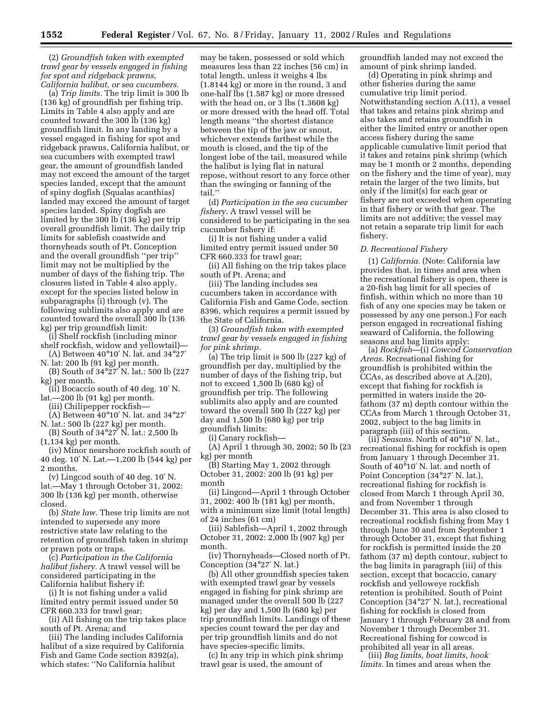(2) *Groundfish taken with exempted trawl gear by vessels engaged in fishing for spot and ridgeback prawns, California halibut, or sea cucumbers.*

(a) *Trip limits.* The trip limit is 300 lb (136 kg) of groundfish per fishing trip. Limits in Table 4 also apply and are counted toward the 300 lb (136 kg) groundfish limit. In any landing by a vessel engaged in fishing for spot and ridgeback prawns, California halibut, or sea cucumbers with exempted trawl gear, the amount of groundfish landed may not exceed the amount of the target species landed, except that the amount of spiny dogfish (Squalas acanthias) landed may exceed the amount of target species landed. Spiny dogfish are limited by the 300 lb (136 kg) per trip overall groundfish limit. The daily trip limits for sablefish coastwide and thornyheads south of Pt. Conception and the overall groundfish ''per trip'' limit may not be multiplied by the number of days of the fishing trip. The closures listed in Table 4 also apply, except for the species listed below in subparagraphs (i) through (v). The following sublimits also apply and are counted toward the overall 300 lb (136 kg) per trip groundfish limit:

(i) Shelf rockfish (including minor shelf rockfish, widow and yellowtail)—

(A) Between 40°10′ N. lat. and 34°27′ N. lat: 200 lb (91 kg) per month.

(B) South of 34°27′ N. lat.: 500 lb (227 kg) per month.

(ii) Bocaccio south of 40 deg. 10′ N. lat.—200 lb (91 kg) per month.

(iii) Chilipepper rockfish—

(A) Between 40°10′ N. lat. and 34°27′ N. lat.: 500 lb (227 kg) per month.

(B) South of 34°27′ N. lat.: 2,500 lb (1,134 kg) per month.

(iv) Minor nearshore rockfish south of 40 deg. 10′ N. Lat.—1,200 lb (544 kg) per 2 months.

(v) Lingcod south of 40 deg. 10′ N. lat.—May 1 through October 31, 2002: 300 lb (136 kg) per month, otherwise closed.

(b) *State law.* These trip limits are not intended to supersede any more restrictive state law relating to the retention of groundfish taken in shrimp or prawn pots or traps.

(c) *Participation in the California halibut fishery.* A trawl vessel will be considered participating in the California halibut fishery if:

(i) It is not fishing under a valid limited entry permit issued under 50 CFR 660.333 for trawl gear;

(ii) All fishing on the trip takes place south of Pt. Arena; and

(iii) The landing includes California halibut of a size required by California Fish and Game Code section 8392(a), which states: ''No California halibut

may be taken, possessed or sold which measures less than 22 inches (56 cm) in total length, unless it weighs 4 lbs (1.8144 kg) or more in the round, 3 and one-half lbs (1.587 kg) or more dressed with the head on, or 3 lbs (1.3608 kg) or more dressed with the head off. Total length means ''the shortest distance between the tip of the jaw or snout, whichever extends farthest while the mouth is closed, and the tip of the longest lobe of the tail, measured while the halibut is lying flat in natural repose, without resort to any force other than the swinging or fanning of the tail.''

(d) *Participation in the sea cucumber fishery.* A trawl vessel will be considered to be participating in the sea cucumber fishery if:

(i) It is not fishing under a valid limited entry permit issued under 50 CFR 660.333 for trawl gear;

(ii) All fishing on the trip takes place south of Pt. Arena; and

(iii) The landing includes sea cucumbers taken in accordance with California Fish and Game Code, section 8396, which requires a permit issued by the State of California.

(3) *Groundfish taken with exempted trawl gear by vessels engaged in fishing for pink shrimp.*

(a) The trip limit is 500 lb (227 kg) of groundfish per day, multiplied by the number of days of the fishing trip, but not to exceed 1,500 lb (680 kg) of groundfish per trip. The following sublimits also apply and are counted toward the overall 500 lb (227 kg) per day and 1,500 lb (680 kg) per trip groundfish limits:

(i) Canary rockfish—

(A) April 1 through 30, 2002; 50 lb (23 kg) per month

(B) Starting May 1, 2002 through October 31, 2002: 200 lb (91 kg) per month

(ii) Lingcod—April 1 through October 31, 2002: 400 lb (181 kg) per month, with a minimum size limit (total length) of 24 inches (61 cm)

(iii) Sablefish—April 1, 2002 through October 31, 2002: 2,000 lb (907 kg) per month.

(iv) Thornyheads—Closed north of Pt. Conception (34°27′ N. lat.)

(b) All other groundfish species taken with exempted trawl gear by vessels engaged in fishing for pink shrimp are managed under the overall 500 lb (227 kg) per day and 1,500 lb (680 kg) per trip groundfish limits. Landings of these species count toward the per day and per trip groundfish limits and do not have species-specific limits.

(c) In any trip in which pink shrimp trawl gear is used, the amount of

groundfish landed may not exceed the amount of pink shrimp landed.

(d) Operating in pink shrimp and other fisheries during the same cumulative trip limit period. Notwithstanding section A.(11), a vessel that takes and retains pink shrimp and also takes and retains groundfish in either the limited entry or another open access fishery during the same applicable cumulative limit period that it takes and retains pink shrimp (which may be 1 month or 2 months, depending on the fishery and the time of year), may retain the larger of the two limits, but only if the limit(s) for each gear or fishery are not exceeded when operating in that fishery or with that gear. The limits are not additive; the vessel may not retain a separate trip limit for each fishery.

#### *D. Recreational Fishery*

(1) *California.* (Note: California law provides that, in times and area when the recreational fishery is open, there is a 20-fish bag limit for all species of finfish, within which no more than 10 fish of any one species may be taken or possessed by any one person.) For each person engaged in recreational fishing seaward of California, the following seasons and bag limits apply:

(a) *Rockfish*—(i) *Cowcod Conservation Areas.* Recreational fishing for groundfish is prohibited within the CCAs, as described above at A.(20), except that fishing for rockfish is permitted in waters inside the 20 fathom (37 m) depth contour within the CCAs from March 1 through October 31, 2002, subject to the bag limits in paragraph (iii) of this section.

(ii) *Seasons.* North of 40°10′ N. lat., recreational fishing for rockfish is open from January 1 through December 31. South of 40°10′ N. lat. and north of Point Conception (34°27′ N. lat.), recreational fishing for rockfish is closed from March 1 through April 30, and from November 1 through December 31. This area is also closed to recreational rockfish fishing from May 1 through June 30 and from September 1 through October 31, except that fishing for rockfish is permitted inside the 20 fathom (37 m) depth contour, subject to the bag limits in paragraph (iii) of this section, except that bocaccio, canary rockfish and yelloweye rockfish retention is prohibited. South of Point Conception (34°27′ N. lat.), recreational fishing for rockfish is closed from January 1 through February 28 and from November 1 through December 31. Recreational fishing for cowcod is prohibited all year in all areas.

(iii) *Bag limits, boat limits, hook limits.* In times and areas when the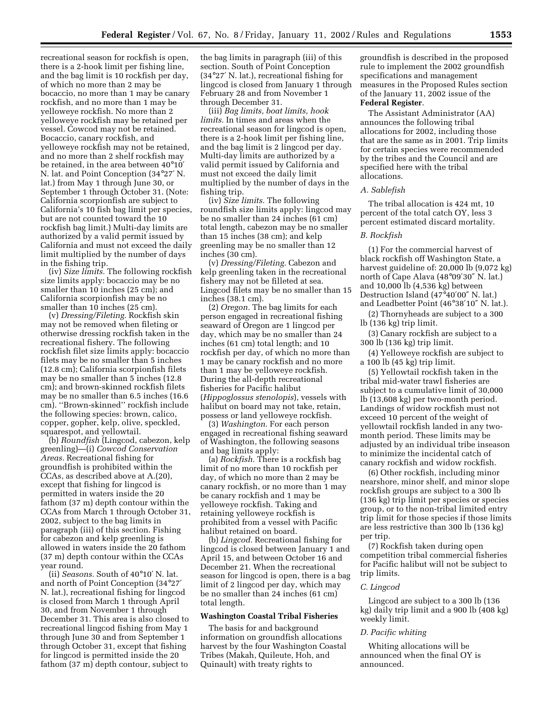recreational season for rockfish is open, there is a 2-hook limit per fishing line, and the bag limit is 10 rockfish per day, of which no more than 2 may be bocaccio, no more than 1 may be canary rockfish, and no more than 1 may be yelloweye rockfish. No more than 2 yelloweye rockfish may be retained per vessel. Cowcod may not be retained. Bocaccio, canary rockfish, and yelloweye rockfish may not be retained, and no more than 2 shelf rockfish may be retained, in the area between 40°10′ N. lat. and Point Conception (34°27′ N. lat.) from May 1 through June 30, or September 1 through October 31. (Note: California scorpionfish are subject to California's 10 fish bag limit per species, but are not counted toward the 10 rockfish bag limit.) Multi-day limits are authorized by a valid permit issued by California and must not exceed the daily limit multiplied by the number of days in the fishing trip.

(iv) *Size limits.* The following rockfish size limits apply: bocaccio may be no smaller than 10 inches (25 cm); and California scorpionfish may be no smaller than 10 inches (25 cm).

(v) *Dressing/Fileting.* Rockfish skin may not be removed when fileting or otherwise dressing rockfish taken in the recreational fishery. The following rockfish filet size limits apply: bocaccio filets may be no smaller than 5 inches (12.8 cm); California scorpionfish filets may be no smaller than 5 inches (12.8 cm); and brown-skinned rockfish filets may be no smaller than 6.5 inches (16.6 cm). ''Brown-skinned'' rockfish include the following species: brown, calico, copper, gopher, kelp, olive, speckled, squarespot, and yellowtail.

(b) *Roundfish* (Lingcod, cabezon, kelp greenling)—(i) *Cowcod Conservation Areas.* Recreational fishing for groundfish is prohibited within the CCAs, as described above at A.(20), except that fishing for lingcod is permitted in waters inside the 20 fathom (37 m) depth contour within the CCAs from March 1 through October 31, 2002, subject to the bag limits in paragraph (iii) of this section. Fishing for cabezon and kelp greenling is allowed in waters inside the 20 fathom (37 m) depth contour within the CCAs year round.

(ii) *Seasons.* South of 40°10′ N. lat. and north of Point Conception (34°27′ N. lat.), recreational fishing for lingcod is closed from March 1 through April 30, and from November 1 through December 31. This area is also closed to recreational lingcod fishing from May 1 through June 30 and from September 1 through October 31, except that fishing for lingcod is permitted inside the 20 fathom (37 m) depth contour, subject to

the bag limits in paragraph (iii) of this section. South of Point Conception (34°27′ N. lat.), recreational fishing for lingcod is closed from January 1 through February 28 and from November 1 through December 31.

(iii) *Bag limits, boat limits, hook limits.* In times and areas when the recreational season for lingcod is open, there is a 2-hook limit per fishing line, and the bag limit is 2 lingcod per day. Multi-day limits are authorized by a valid permit issued by California and must not exceed the daily limit multiplied by the number of days in the fishing trip.

(iv) *Size limits.* The following roundfish size limits apply: lingcod may be no smaller than 24 inches (61 cm) total length, cabezon may be no smaller than 15 inches (38 cm); and kelp greenling may be no smaller than 12 inches (30 cm).

(v) *Dressing/Fileting.* Cabezon and kelp greenling taken in the recreational fishery may not be filleted at sea. Lingcod filets may be no smaller than 15 inches (38.1 cm).

(2) *Oregon.* The bag limits for each person engaged in recreational fishing seaward of Oregon are 1 lingcod per day, which may be no smaller than 24 inches (61 cm) total length; and 10 rockfish per day, of which no more than 1 may be canary rockfish and no more than 1 may be yelloweye rockfish. During the all-depth recreational fisheries for Pacific halibut (*Hippoglossus stenolopis*), vessels with halibut on board may not take, retain, possess or land yelloweye rockfish.

(3) *Washington.* For each person engaged in recreational fishing seaward of Washington, the following seasons and bag limits apply:

(a) *Rockfish.* There is a rockfish bag limit of no more than 10 rockfish per day, of which no more than 2 may be canary rockfish, or no more than 1 may be canary rockfish and 1 may be yelloweye rockfish. Taking and retaining yelloweye rockfish is prohibited from a vessel with Pacific halibut retained on board.

(b) *Lingcod.* Recreational fishing for lingcod is closed between January 1 and April 15, and between October 16 and December 21. When the recreational season for lingcod is open, there is a bag limit of 2 lingcod per day, which may be no smaller than 24 inches (61 cm) total length.

#### **Washington Coastal Tribal Fisheries**

The basis for and background information on groundfish allocations harvest by the four Washington Coastal Tribes (Makah, Quileute, Hoh, and Quinault) with treaty rights to

groundfish is described in the proposed rule to implement the 2002 groundfish specifications and management measures in the Proposed Rules section of the January 11, 2002 issue of the **Federal Register**.

The Assistant Administrator (AA) announces the following tribal allocations for 2002, including those that are the same as in 2001. Trip limits for certain species were recommended by the tribes and the Council and are specified here with the tribal allocations.

#### *A. Sablefish*

The tribal allocation is 424 mt, 10 percent of the total catch OY, less 3 percent estimated discard mortality.

#### *B. Rockfish*

(1) For the commercial harvest of black rockfish off Washington State, a harvest guideline of: 20,000 lb (9,072 kg) north of Cape Alava (48°09′30″ N. lat.) and 10,000 lb (4,536 kg) between Destruction Island (47°40′00″ N. lat.) and Leadbetter Point (46°38′10″ N. lat.).

(2) Thornyheads are subject to a 300 lb (136 kg) trip limit.

(3) Canary rockfish are subject to a 300 lb (136 kg) trip limit.

(4) Yelloweye rockfish are subject to a 100 lb (45 kg) trip limit.

(5) Yellowtail rockfish taken in the tribal mid-water trawl fisheries are subject to a cumulative limit of 30,000 lb (13,608 kg) per two-month period. Landings of widow rockfish must not exceed 10 percent of the weight of yellowtail rockfish landed in any twomonth period. These limits may be adjusted by an individual tribe inseason to minimize the incidental catch of canary rockfish and widow rockfish.

(6) Other rockfish, including minor nearshore, minor shelf, and minor slope rockfish groups are subject to a 300 lb (136 kg) trip limit per species or species group, or to the non-tribal limited entry trip limit for those species if those limits are less restrictive than 300 lb (136 kg) per trip.

(7) Rockfish taken during open competition tribal commercial fisheries for Pacific halibut will not be subject to trip limits.

#### *C. Lingcod*

Lingcod are subject to a 300 lb (136 kg) daily trip limit and a 900 lb (408 kg) weekly limit.

#### *D. Pacific whiting*

Whiting allocations will be announced when the final OY is announced.